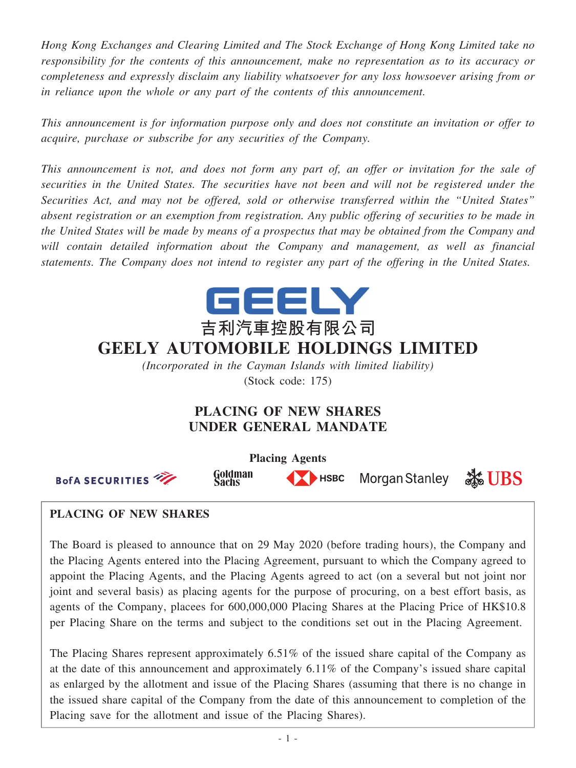*Hong Kong Exchanges and Clearing Limited and The Stock Exchange of Hong Kong Limited take no responsibility for the contents of this announcement, make no representation as to its accuracy or completeness and expressly disclaim any liability whatsoever for any loss howsoever arising from or in reliance upon the whole or any part of the contents of this announcement.*

*This announcement is for information purpose only and does not constitute an invitation or offer to acquire, purchase or subscribe for any securities of the Company.*

*This announcement is not, and does not form any part of, an offer or invitation for the sale of securities in the United States. The securities have not been and will not be registered under the Securities Act, and may not be offered, sold or otherwise transferred within the "United States" absent registration or an exemption from registration. Any public offering of securities to be made in the United States will be made by means of a prospectus that may be obtained from the Company and will contain detailed information about the Company and management, as well as financial statements. The Company does not intend to register any part of the offering in the United States.*



*(Incorporated in the Cayman Islands with limited liability)* (Stock code: 175)

# **PLACING OF NEW SHARES UNDER GENERAL MANDATE**



## **PLACING OF NEW SHARES**

The Board is pleased to announce that on 29 May 2020 (before trading hours), the Company and the Placing Agents entered into the Placing Agreement, pursuant to which the Company agreed to appoint the Placing Agents, and the Placing Agents agreed to act (on a several but not joint nor joint and several basis) as placing agents for the purpose of procuring, on a best effort basis, as agents of the Company, placees for 600,000,000 Placing Shares at the Placing Price of HK\$10.8 per Placing Share on the terms and subject to the conditions set out in the Placing Agreement.

The Placing Shares represent approximately 6.51% of the issued share capital of the Company as at the date of this announcement and approximately 6.11% of the Company's issued share capital as enlarged by the allotment and issue of the Placing Shares (assuming that there is no change in the issued share capital of the Company from the date of this announcement to completion of the Placing save for the allotment and issue of the Placing Shares).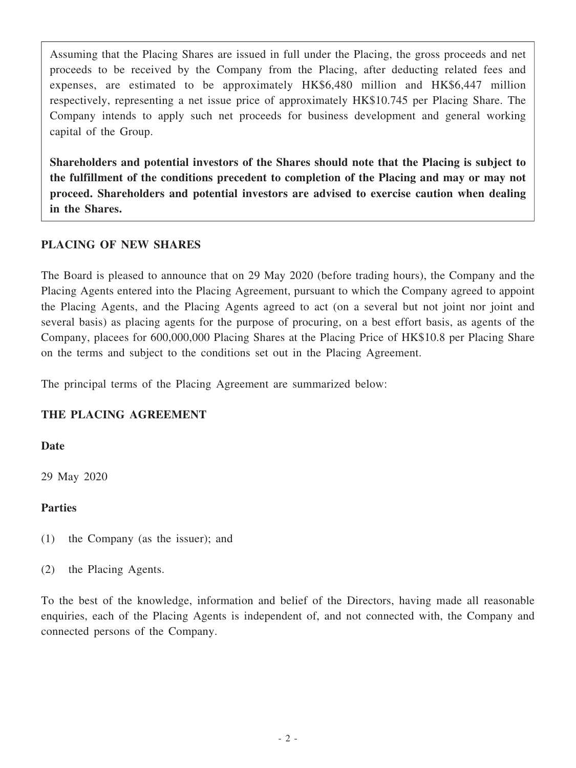Assuming that the Placing Shares are issued in full under the Placing, the gross proceeds and net proceeds to be received by the Company from the Placing, after deducting related fees and expenses, are estimated to be approximately HK\$6,480 million and HK\$6,447 million respectively, representing a net issue price of approximately HK\$10.745 per Placing Share. The Company intends to apply such net proceeds for business development and general working capital of the Group.

**Shareholders and potential investors of the Shares should note that the Placing is subject to the fulfillment of the conditions precedent to completion of the Placing and may or may not proceed. Shareholders and potential investors are advised to exercise caution when dealing in the Shares.**

## **PLACING OF NEW SHARES**

The Board is pleased to announce that on 29 May 2020 (before trading hours), the Company and the Placing Agents entered into the Placing Agreement, pursuant to which the Company agreed to appoint the Placing Agents, and the Placing Agents agreed to act (on a several but not joint nor joint and several basis) as placing agents for the purpose of procuring, on a best effort basis, as agents of the Company, placees for 600,000,000 Placing Shares at the Placing Price of HK\$10.8 per Placing Share on the terms and subject to the conditions set out in the Placing Agreement.

The principal terms of the Placing Agreement are summarized below:

## **THE PLACING AGREEMENT**

## **Date**

29 May 2020

## **Parties**

- (1) the Company (as the issuer); and
- (2) the Placing Agents.

To the best of the knowledge, information and belief of the Directors, having made all reasonable enquiries, each of the Placing Agents is independent of, and not connected with, the Company and connected persons of the Company.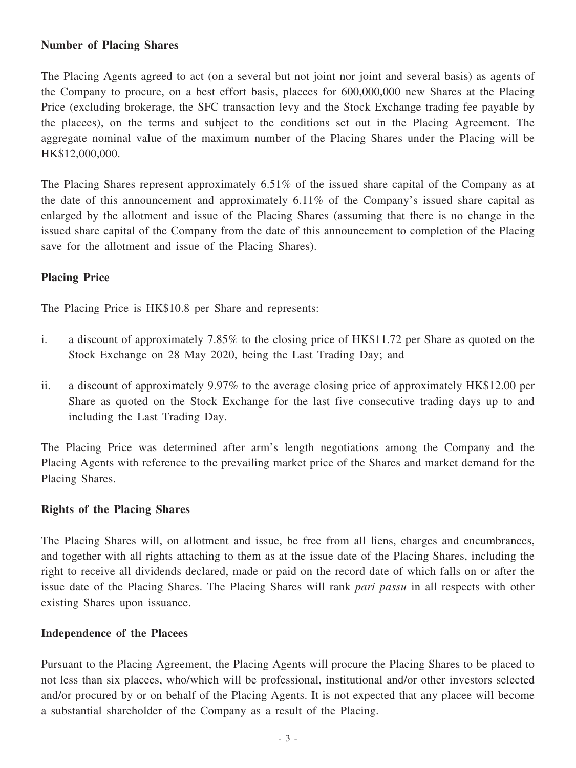#### **Number of Placing Shares**

The Placing Agents agreed to act (on a several but not joint nor joint and several basis) as agents of the Company to procure, on a best effort basis, placees for 600,000,000 new Shares at the Placing Price (excluding brokerage, the SFC transaction levy and the Stock Exchange trading fee payable by the placees), on the terms and subject to the conditions set out in the Placing Agreement. The aggregate nominal value of the maximum number of the Placing Shares under the Placing will be HK\$12,000,000.

The Placing Shares represent approximately 6.51% of the issued share capital of the Company as at the date of this announcement and approximately 6.11% of the Company's issued share capital as enlarged by the allotment and issue of the Placing Shares (assuming that there is no change in the issued share capital of the Company from the date of this announcement to completion of the Placing save for the allotment and issue of the Placing Shares).

## **Placing Price**

The Placing Price is HK\$10.8 per Share and represents:

- i. a discount of approximately 7.85% to the closing price of HK\$11.72 per Share as quoted on the Stock Exchange on 28 May 2020, being the Last Trading Day; and
- ii. a discount of approximately 9.97% to the average closing price of approximately HK\$12.00 per Share as quoted on the Stock Exchange for the last five consecutive trading days up to and including the Last Trading Day.

The Placing Price was determined after arm's length negotiations among the Company and the Placing Agents with reference to the prevailing market price of the Shares and market demand for the Placing Shares.

## **Rights of the Placing Shares**

The Placing Shares will, on allotment and issue, be free from all liens, charges and encumbrances, and together with all rights attaching to them as at the issue date of the Placing Shares, including the right to receive all dividends declared, made or paid on the record date of which falls on or after the issue date of the Placing Shares. The Placing Shares will rank *pari passu* in all respects with other existing Shares upon issuance.

## **Independence of the Placees**

Pursuant to the Placing Agreement, the Placing Agents will procure the Placing Shares to be placed to not less than six placees, who/which will be professional, institutional and/or other investors selected and/or procured by or on behalf of the Placing Agents. It is not expected that any placee will become a substantial shareholder of the Company as a result of the Placing.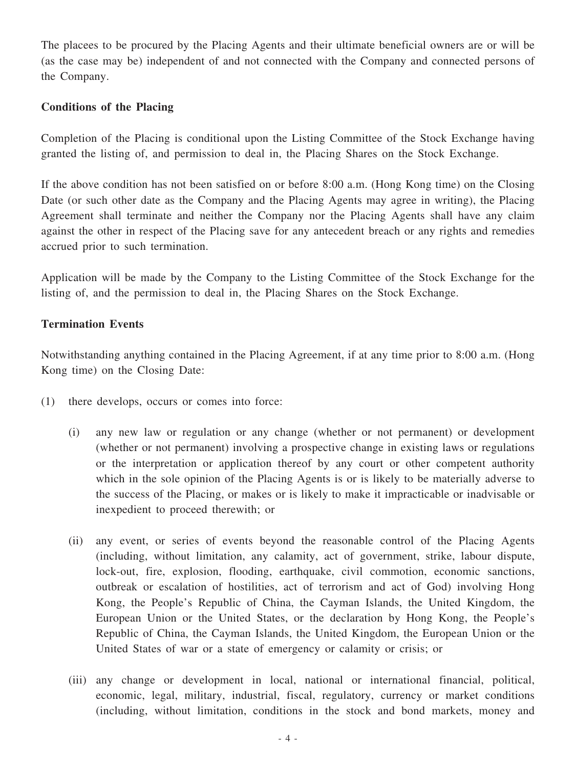The placees to be procured by the Placing Agents and their ultimate beneficial owners are or will be (as the case may be) independent of and not connected with the Company and connected persons of the Company.

### **Conditions of the Placing**

Completion of the Placing is conditional upon the Listing Committee of the Stock Exchange having granted the listing of, and permission to deal in, the Placing Shares on the Stock Exchange.

If the above condition has not been satisfied on or before 8:00 a.m. (Hong Kong time) on the Closing Date (or such other date as the Company and the Placing Agents may agree in writing), the Placing Agreement shall terminate and neither the Company nor the Placing Agents shall have any claim against the other in respect of the Placing save for any antecedent breach or any rights and remedies accrued prior to such termination.

Application will be made by the Company to the Listing Committee of the Stock Exchange for the listing of, and the permission to deal in, the Placing Shares on the Stock Exchange.

#### **Termination Events**

Notwithstanding anything contained in the Placing Agreement, if at any time prior to 8:00 a.m. (Hong Kong time) on the Closing Date:

- (1) there develops, occurs or comes into force:
	- (i) any new law or regulation or any change (whether or not permanent) or development (whether or not permanent) involving a prospective change in existing laws or regulations or the interpretation or application thereof by any court or other competent authority which in the sole opinion of the Placing Agents is or is likely to be materially adverse to the success of the Placing, or makes or is likely to make it impracticable or inadvisable or inexpedient to proceed therewith; or
	- (ii) any event, or series of events beyond the reasonable control of the Placing Agents (including, without limitation, any calamity, act of government, strike, labour dispute, lock-out, fire, explosion, flooding, earthquake, civil commotion, economic sanctions, outbreak or escalation of hostilities, act of terrorism and act of God) involving Hong Kong, the People's Republic of China, the Cayman Islands, the United Kingdom, the European Union or the United States, or the declaration by Hong Kong, the People's Republic of China, the Cayman Islands, the United Kingdom, the European Union or the United States of war or a state of emergency or calamity or crisis; or
	- (iii) any change or development in local, national or international financial, political, economic, legal, military, industrial, fiscal, regulatory, currency or market conditions (including, without limitation, conditions in the stock and bond markets, money and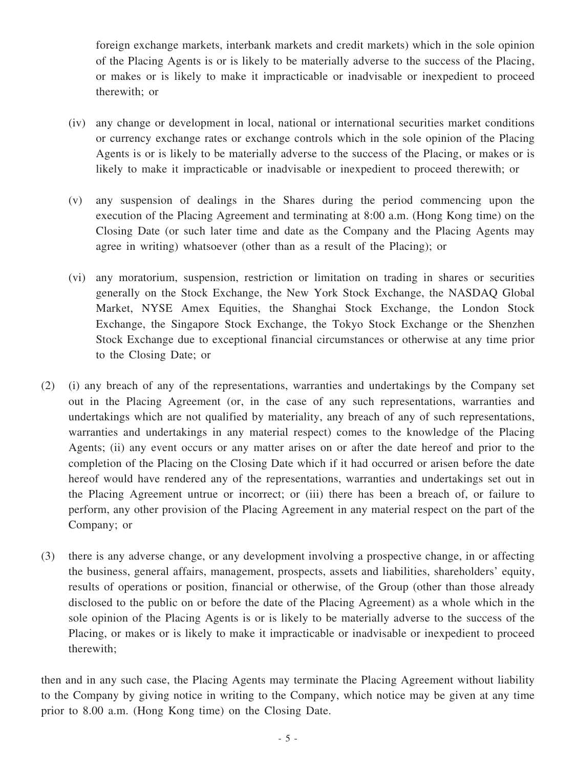foreign exchange markets, interbank markets and credit markets) which in the sole opinion of the Placing Agents is or is likely to be materially adverse to the success of the Placing, or makes or is likely to make it impracticable or inadvisable or inexpedient to proceed therewith; or

- (iv) any change or development in local, national or international securities market conditions or currency exchange rates or exchange controls which in the sole opinion of the Placing Agents is or is likely to be materially adverse to the success of the Placing, or makes or is likely to make it impracticable or inadvisable or inexpedient to proceed therewith; or
- (v) any suspension of dealings in the Shares during the period commencing upon the execution of the Placing Agreement and terminating at 8:00 a.m. (Hong Kong time) on the Closing Date (or such later time and date as the Company and the Placing Agents may agree in writing) whatsoever (other than as a result of the Placing); or
- (vi) any moratorium, suspension, restriction or limitation on trading in shares or securities generally on the Stock Exchange, the New York Stock Exchange, the NASDAQ Global Market, NYSE Amex Equities, the Shanghai Stock Exchange, the London Stock Exchange, the Singapore Stock Exchange, the Tokyo Stock Exchange or the Shenzhen Stock Exchange due to exceptional financial circumstances or otherwise at any time prior to the Closing Date; or
- (2) (i) any breach of any of the representations, warranties and undertakings by the Company set out in the Placing Agreement (or, in the case of any such representations, warranties and undertakings which are not qualified by materiality, any breach of any of such representations, warranties and undertakings in any material respect) comes to the knowledge of the Placing Agents; (ii) any event occurs or any matter arises on or after the date hereof and prior to the completion of the Placing on the Closing Date which if it had occurred or arisen before the date hereof would have rendered any of the representations, warranties and undertakings set out in the Placing Agreement untrue or incorrect; or (iii) there has been a breach of, or failure to perform, any other provision of the Placing Agreement in any material respect on the part of the Company; or
- (3) there is any adverse change, or any development involving a prospective change, in or affecting the business, general affairs, management, prospects, assets and liabilities, shareholders' equity, results of operations or position, financial or otherwise, of the Group (other than those already disclosed to the public on or before the date of the Placing Agreement) as a whole which in the sole opinion of the Placing Agents is or is likely to be materially adverse to the success of the Placing, or makes or is likely to make it impracticable or inadvisable or inexpedient to proceed therewith;

then and in any such case, the Placing Agents may terminate the Placing Agreement without liability to the Company by giving notice in writing to the Company, which notice may be given at any time prior to 8.00 a.m. (Hong Kong time) on the Closing Date.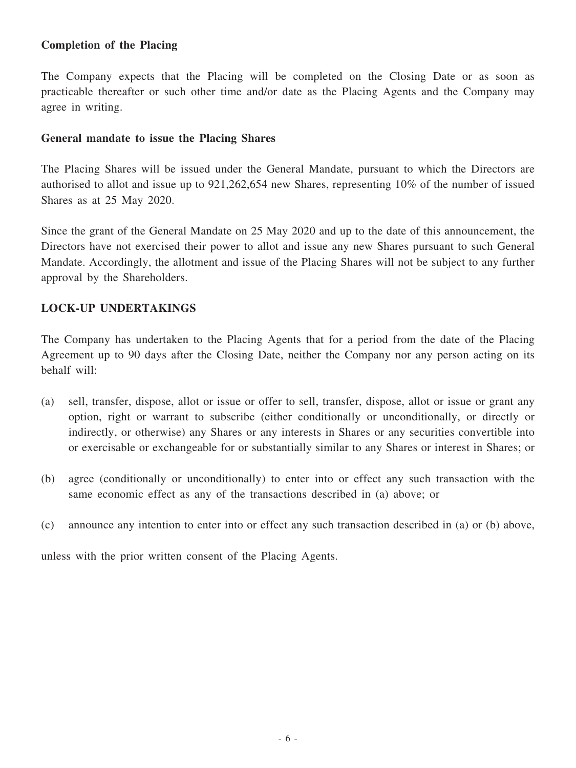## **Completion of the Placing**

The Company expects that the Placing will be completed on the Closing Date or as soon as practicable thereafter or such other time and/or date as the Placing Agents and the Company may agree in writing.

#### **General mandate to issue the Placing Shares**

The Placing Shares will be issued under the General Mandate, pursuant to which the Directors are authorised to allot and issue up to 921,262,654 new Shares, representing 10% of the number of issued Shares as at 25 May 2020.

Since the grant of the General Mandate on 25 May 2020 and up to the date of this announcement, the Directors have not exercised their power to allot and issue any new Shares pursuant to such General Mandate. Accordingly, the allotment and issue of the Placing Shares will not be subject to any further approval by the Shareholders.

## **LOCK-UP UNDERTAKINGS**

The Company has undertaken to the Placing Agents that for a period from the date of the Placing Agreement up to 90 days after the Closing Date, neither the Company nor any person acting on its behalf will:

- (a) sell, transfer, dispose, allot or issue or offer to sell, transfer, dispose, allot or issue or grant any option, right or warrant to subscribe (either conditionally or unconditionally, or directly or indirectly, or otherwise) any Shares or any interests in Shares or any securities convertible into or exercisable or exchangeable for or substantially similar to any Shares or interest in Shares; or
- (b) agree (conditionally or unconditionally) to enter into or effect any such transaction with the same economic effect as any of the transactions described in (a) above; or
- (c) announce any intention to enter into or effect any such transaction described in (a) or (b) above,

unless with the prior written consent of the Placing Agents.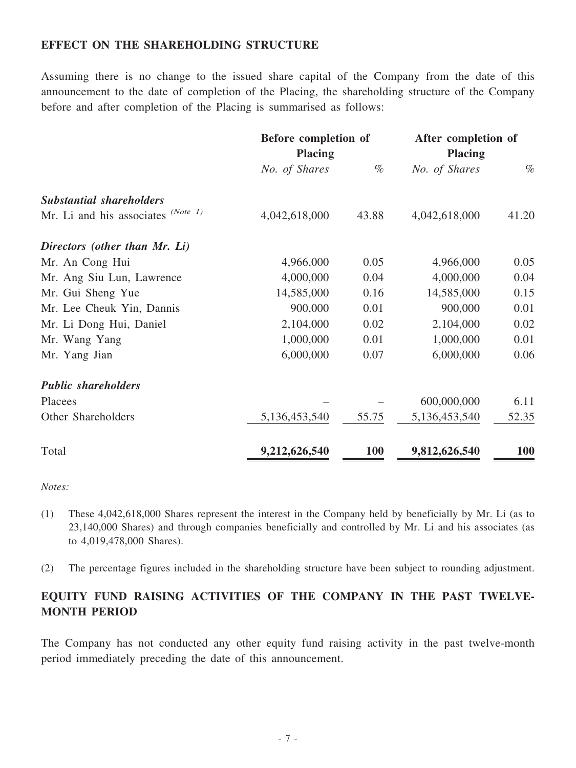## **EFFECT ON THE SHAREHOLDING STRUCTURE**

Assuming there is no change to the issued share capital of the Company from the date of this announcement to the date of completion of the Placing, the shareholding structure of the Company before and after completion of the Placing is summarised as follows:

|                                      | Before completion of<br><b>Placing</b> |            | After completion of<br><b>Placing</b> |            |
|--------------------------------------|----------------------------------------|------------|---------------------------------------|------------|
|                                      |                                        |            |                                       |            |
|                                      | No. of Shares                          | $\%$       | No. of Shares                         | $\%$       |
| <b>Substantial shareholders</b>      |                                        |            |                                       |            |
| Mr. Li and his associates $(Note 1)$ | 4,042,618,000                          | 43.88      | 4,042,618,000                         | 41.20      |
| Directors (other than Mr. Li)        |                                        |            |                                       |            |
| Mr. An Cong Hui                      | 4,966,000                              | 0.05       | 4,966,000                             | 0.05       |
| Mr. Ang Siu Lun, Lawrence            | 4,000,000                              | 0.04       | 4,000,000                             | 0.04       |
| Mr. Gui Sheng Yue                    | 14,585,000                             | 0.16       | 14,585,000                            | 0.15       |
| Mr. Lee Cheuk Yin, Dannis            | 900,000                                | 0.01       | 900,000                               | 0.01       |
| Mr. Li Dong Hui, Daniel              | 2,104,000                              | 0.02       | 2,104,000                             | 0.02       |
| Mr. Wang Yang                        | 1,000,000                              | 0.01       | 1,000,000                             | 0.01       |
| Mr. Yang Jian                        | 6,000,000                              | 0.07       | 6,000,000                             | 0.06       |
| <b>Public shareholders</b>           |                                        |            |                                       |            |
| Placees                              |                                        |            | 600,000,000                           | 6.11       |
| Other Shareholders                   | 5,136,453,540                          | 55.75      | 5,136,453,540                         | 52.35      |
| Total                                | 9,212,626,540                          | <b>100</b> | 9,812,626,540                         | <b>100</b> |

*Notes:*

- (1) These 4,042,618,000 Shares represent the interest in the Company held by beneficially by Mr. Li (as to 23,140,000 Shares) and through companies beneficially and controlled by Mr. Li and his associates (as to 4,019,478,000 Shares).
- (2) The percentage figures included in the shareholding structure have been subject to rounding adjustment.

## **EQUITY FUND RAISING ACTIVITIES OF THE COMPANY IN THE PAST TWELVE-MONTH PERIOD**

The Company has not conducted any other equity fund raising activity in the past twelve-month period immediately preceding the date of this announcement.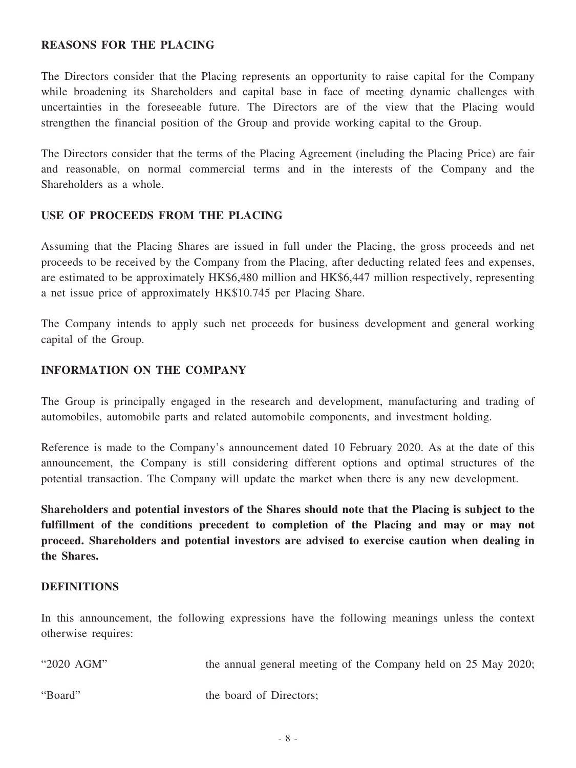## **REASONS FOR THE PLACING**

The Directors consider that the Placing represents an opportunity to raise capital for the Company while broadening its Shareholders and capital base in face of meeting dynamic challenges with uncertainties in the foreseeable future. The Directors are of the view that the Placing would strengthen the financial position of the Group and provide working capital to the Group.

The Directors consider that the terms of the Placing Agreement (including the Placing Price) are fair and reasonable, on normal commercial terms and in the interests of the Company and the Shareholders as a whole.

#### **USE OF PROCEEDS FROM THE PLACING**

Assuming that the Placing Shares are issued in full under the Placing, the gross proceeds and net proceeds to be received by the Company from the Placing, after deducting related fees and expenses, are estimated to be approximately HK\$6,480 million and HK\$6,447 million respectively, representing a net issue price of approximately HK\$10.745 per Placing Share.

The Company intends to apply such net proceeds for business development and general working capital of the Group.

#### **INFORMATION ON THE COMPANY**

The Group is principally engaged in the research and development, manufacturing and trading of automobiles, automobile parts and related automobile components, and investment holding.

Reference is made to the Company's announcement dated 10 February 2020. As at the date of this announcement, the Company is still considering different options and optimal structures of the potential transaction. The Company will update the market when there is any new development.

**Shareholders and potential investors of the Shares should note that the Placing is subject to the fulfillment of the conditions precedent to completion of the Placing and may or may not proceed. Shareholders and potential investors are advised to exercise caution when dealing in the Shares.**

#### **DEFINITIONS**

In this announcement, the following expressions have the following meanings unless the context otherwise requires:

"2020 AGM" the annual general meeting of the Company held on 25 May 2020;

"Board" the board of Directors: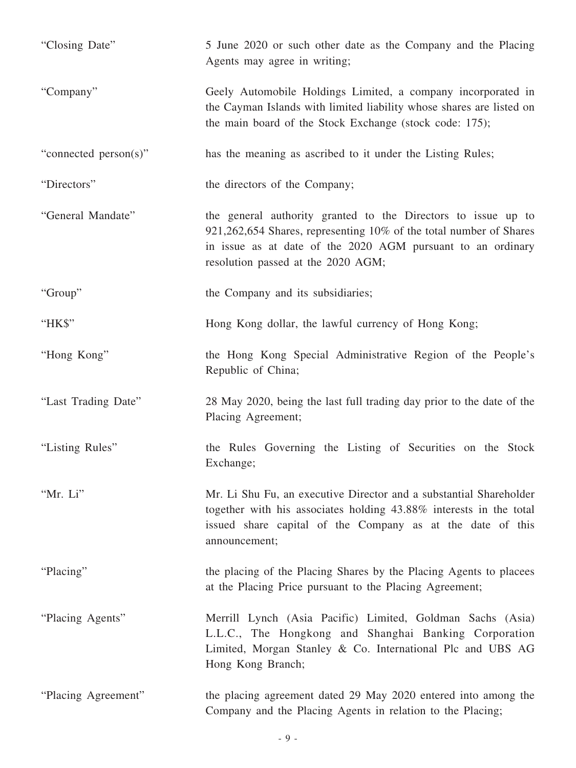| "Closing Date"        | 5 June 2020 or such other date as the Company and the Placing<br>Agents may agree in writing;                                                                                                                                            |
|-----------------------|------------------------------------------------------------------------------------------------------------------------------------------------------------------------------------------------------------------------------------------|
| "Company"             | Geely Automobile Holdings Limited, a company incorporated in<br>the Cayman Islands with limited liability whose shares are listed on<br>the main board of the Stock Exchange (stock code: 175);                                          |
| "connected person(s)" | has the meaning as ascribed to it under the Listing Rules;                                                                                                                                                                               |
| "Directors"           | the directors of the Company;                                                                                                                                                                                                            |
| "General Mandate"     | the general authority granted to the Directors to issue up to<br>921,262,654 Shares, representing 10% of the total number of Shares<br>in issue as at date of the 2020 AGM pursuant to an ordinary<br>resolution passed at the 2020 AGM; |
| "Group"               | the Company and its subsidiaries;                                                                                                                                                                                                        |
| "HK\$"                | Hong Kong dollar, the lawful currency of Hong Kong;                                                                                                                                                                                      |
| "Hong Kong"           | the Hong Kong Special Administrative Region of the People's<br>Republic of China;                                                                                                                                                        |
| "Last Trading Date"   | 28 May 2020, being the last full trading day prior to the date of the<br>Placing Agreement;                                                                                                                                              |
| "Listing Rules"       | the Rules Governing the Listing of Securities on the Stock<br>Exchange;                                                                                                                                                                  |
| "Mr. Li"              | Mr. Li Shu Fu, an executive Director and a substantial Shareholder<br>together with his associates holding 43.88% interests in the total<br>issued share capital of the Company as at the date of this<br>announcement;                  |
| "Placing"             | the placing of the Placing Shares by the Placing Agents to placees<br>at the Placing Price pursuant to the Placing Agreement;                                                                                                            |
| "Placing Agents"      | Merrill Lynch (Asia Pacific) Limited, Goldman Sachs (Asia)<br>L.L.C., The Hongkong and Shanghai Banking Corporation<br>Limited, Morgan Stanley & Co. International Plc and UBS AG<br>Hong Kong Branch;                                   |
| "Placing Agreement"   | the placing agreement dated 29 May 2020 entered into among the<br>Company and the Placing Agents in relation to the Placing;                                                                                                             |